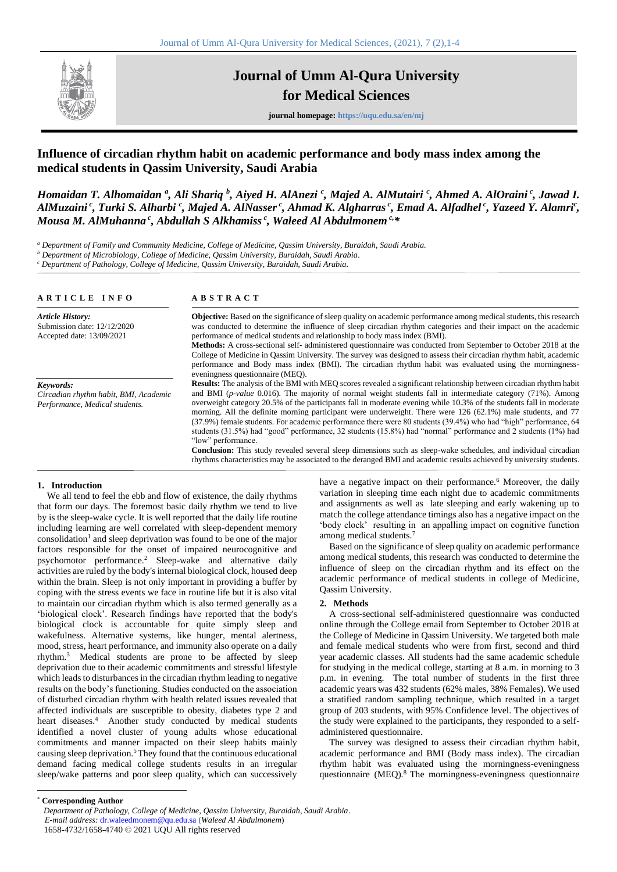

# **Journal of Umm Al-Qura University for Medical Sciences**

**journal homepage: https://uqu.edu.sa/en/mj**

# **Influence of circadian rhythm habit on academic performance and body mass index among the medical students in Qassim University, Saudi Arabia**

*Homaidan T. Alhomaidan* <sup>a</sup>, Ali Shariq <sup>b</sup>, Aiyed H. AlAnezi <sup>c</sup>, Majed A. AlMutairi <sup>c</sup>, Ahmed A. AlOraini <sup>c</sup>, Jawad I. *AlMuzaini <sup>c</sup> , Turki S. Alharbi <sup>c</sup> , Majed A. AlNasser <sup>c</sup> , Ahmad K. Algharras <sup>c</sup> , Emad A. Alfadhel <sup>c</sup> , Yazeed Y. Alamri<sup>c</sup> , Mousa M. AlMuhanna <sup>c</sup> , Abdullah S Alkhamiss <sup>c</sup> , Waleed Al Abdulmonem c, \**

*<sup>a</sup> Department of Family and Community Medicine, College of Medicine, Qassim University, Buraidah, Saudi Arabia.*

*<sup>b</sup> Department of Microbiology, College of Medicine, Qassim University, Buraidah, Saudi Arabia.*

*<sup>c</sup> Department of Pathology, College of Medicine, Qassim University, Buraidah, Saudi Arabia.*

| ARTICLE INFO                                                                        | <b>ABSTRACT</b>                                                                                                                                                                                                                                                                                                                                                                    |  |  |  |
|-------------------------------------------------------------------------------------|------------------------------------------------------------------------------------------------------------------------------------------------------------------------------------------------------------------------------------------------------------------------------------------------------------------------------------------------------------------------------------|--|--|--|
| <b>Article History:</b><br>Submission date: 12/12/2020<br>Accepted date: 13/09/2021 | <b>Objective:</b> Based on the significance of sleep quality on academic performance among medical students, this research<br>was conducted to determine the influence of sleep circadian rhythm categories and their impact on the academic<br>performance of medical students and relationship to body mass index (BMI).                                                         |  |  |  |
|                                                                                     | Methods: A cross-sectional self-administered questionnaire was conducted from September to October 2018 at the<br>College of Medicine in Qassim University. The survey was designed to assess their circadian rhythm habit, academic<br>performance and Body mass index (BMI). The circadian rhythm habit was evaluated using the morningness-<br>eveningness questionnaire (MEO). |  |  |  |
| Keywords:                                                                           | <b>Results:</b> The analysis of the BMI with MEQ scores revealed a significant relationship between circadian rhythm habit                                                                                                                                                                                                                                                         |  |  |  |
| Circadian rhythm habit, BMI, Academic<br>Performance, Medical students.             | and BMI ( <i>p-value</i> 0.016). The majority of normal weight students fall in intermediate category (71%). Among<br>overweight category 20.5% of the participants fall in moderate evening while 10.3% of the students fall in moderate                                                                                                                                          |  |  |  |
|                                                                                     | morning. All the definite morning participant were underweight. There were 126 (62.1%) male students, and 77<br>(37.9%) female students. For academic performance there were 80 students (39.4%) who had "high" performance, 64                                                                                                                                                    |  |  |  |
|                                                                                     | students (31.5%) had "good" performance, 32 students (15.8%) had "normal" performance and 2 students (1%) had<br>"low" performance.                                                                                                                                                                                                                                                |  |  |  |
|                                                                                     | <b>Conclusion:</b> This study revealed several sleep dimensions such as sleep-wake schedules, and individual circadian<br>rhythms characteristics may be associated to the deranged BMI and academic results achieved by university students.                                                                                                                                      |  |  |  |

#### **1. Introduction**

We all tend to feel the ebb and flow of existence, the daily rhythms that form our days. The foremost basic daily rhythm we tend to live by is the sleep-wake cycle. It is well reported that the daily life routine including learning are well correlated with sleep-dependent memory  $\cos$ onsolidation<sup>1</sup> and sleep deprivation was found to be one of the major factors responsible for the onset of impaired neurocognitive and psychomotor performance.<sup>2</sup> Sleep-wake and alternative daily activities are ruled by the body's internal biological clock, housed deep within the brain. Sleep is not only important in providing a buffer by coping with the stress events we face in routine life but it is also vital to maintain our circadian rhythm which is also termed generally as a 'biological clock'. Research findings have reported that the body's biological clock is accountable for quite simply sleep and wakefulness. Alternative systems, like hunger, mental alertness, mood, stress, heart performance, and immunity also operate on a daily rhythm.<sup>3</sup> Medical students are prone to be affected by sleep deprivation due to their academic commitments and stressful lifestyle which leads to disturbances in the circadian rhythm leading to negative results on the body's functioning. Studies conducted on the association of disturbed circadian rhythm with health related issues revealed that affected individuals are susceptible to obesity, diabetes type 2 and heart diseases.<sup>4</sup> Another study conducted by medical students identified a novel cluster of young adults whose educational commitments and manner impacted on their sleep habits mainly causing sleep deprivation.<sup>5</sup> They found that the continuous educational demand facing medical college students results in an irregular sleep/wake patterns and poor sleep quality, which can successively have a negative impact on their performance.<sup>6</sup> Moreover, the daily variation in sleeping time each night due to academic commitments and assignments as well as late sleeping and early wakening up to match the college attendance timings also has a negative impact on the 'body clock' resulting in an appalling impact on cognitive function among medical students.<sup>7</sup>

Based on the significance of sleep quality on academic performance among medical students, this research was conducted to determine the influence of sleep on the circadian rhythm and its effect on the academic performance of medical students in college of Medicine, Qassim University.

#### **2. Methods**

A cross-sectional self-administered questionnaire was conducted online through the College email from September to October 2018 at the College of Medicine in Qassim University. We targeted both male and female medical students who were from first, second and third year academic classes. All students had the same academic schedule for studying in the medical college, starting at 8 a.m. in morning to 3 p.m. in evening. The total number of students in the first three academic years was 432 students (62% males, 38% Females). We used a stratified random sampling technique, which resulted in a target group of 203 students, with 95% Confidence level. The objectives of the study were explained to the participants, they responded to a selfadministered questionnaire.

The survey was designed to assess their circadian rhythm habit, academic performance and BMI (Body mass index). The circadian rhythm habit was evaluated using the morningness-eveningness questionnaire (MEQ).<sup>8</sup> The morningness-eveningness questionnaire

\* **Corresponding Author**

*Department of Pathology, College of Medicine, Qassim University, Buraidah, Saudi Arabia*. *E-mail address:* dr.waleedmonem@qu.edu.sa (*Waleed Al Abdulmonem*) 1658-4732/1658-4740 © 2021 UQU All rights reserved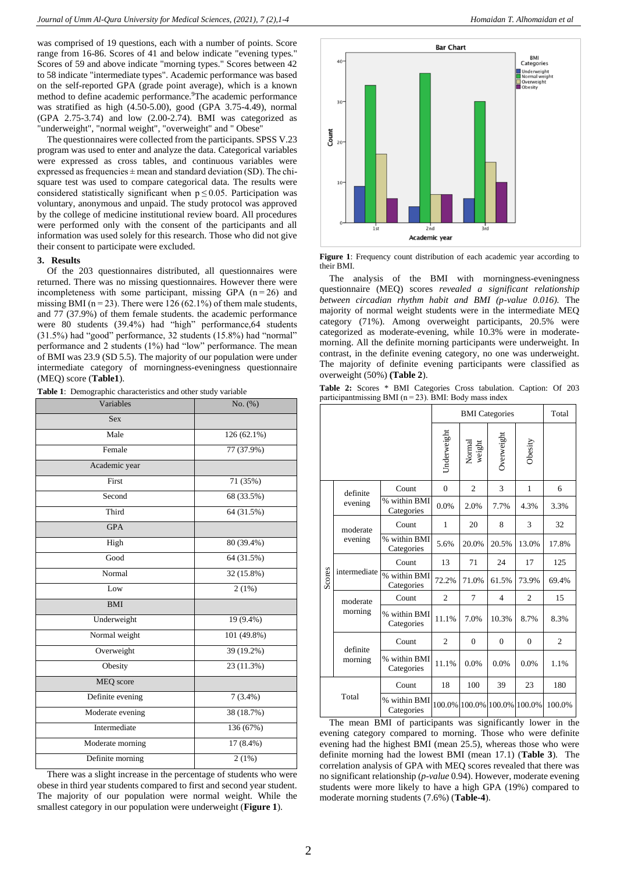was comprised of 19 questions, each with a number of points. Score range from 16-86. Scores of 41 and below indicate "evening types." Scores of 59 and above indicate "morning types." Scores between 42 to 58 indicate "intermediate types". Academic performance was based on the self-reported GPA (grade point average), which is a known method to define academic performance.<sup>9</sup>The academic performance was stratified as high (4.50-5.00), good (GPA 3.75-4.49), normal (GPA 2.75-3.74) and low (2.00-2.74). BMI was categorized as "underweight", "normal weight", "overweight" and " Obese"

The questionnaires were collected from the participants. SPSS V.23 program was used to enter and analyze the data. Categorical variables were expressed as cross tables, and continuous variables were expressed as frequencies  $\pm$  mean and standard deviation (SD). The chisquare test was used to compare categorical data. The results were considered statistically significant when  $p \le 0.05$ . Participation was voluntary, anonymous and unpaid. The study protocol was approved by the college of medicine institutional review board. All procedures were performed only with the consent of the participants and all information was used solely for this research. Those who did not give their consent to participate were excluded.

#### **3. Results**

Of the 203 questionnaires distributed, all questionnaires were returned. There was no missing questionnaires. However there were incompleteness with some participant, missing GPA  $(n=26)$  and missing BMI ( $n = 23$ ). There were 126 (62.1%) of them male students, and 77 (37.9%) of them female students. the academic performance were 80 students (39.4%) had "high" performance,64 students (31.5%) had "good" performance, 32 students (15.8%) had "normal" performance and 2 students (1%) had "low" performance. The mean of BMI was 23.9 (SD 5.5). The majority of our population were under intermediate category of morningness-eveningness questionnaire (MEQ) score (**Table1**).

**Table 1**: Demographic characteristics and other study variable

| Variables        | No. (%)                 |
|------------------|-------------------------|
| <b>Sex</b>       |                         |
| Male             | 126 (62.1%)             |
| Female           | 77 (37.9%)              |
| Academic year    |                         |
| First            | 71 (35%)                |
| Second           | 68 (33.5%)              |
| Third            | 64 (31.5%)              |
| <b>GPA</b>       |                         |
| High             | 80 (39.4%)              |
| Good             | $\overline{64}$ (31.5%) |
| Normal           | 32 (15.8%)              |
| Low              | 2(1%)                   |
| <b>BMI</b>       |                         |
| Underweight      | 19 (9.4%)               |
| Normal weight    | 101 (49.8%)             |
| Overweight       | 39 (19.2%)              |
| Obesity          | 23 (11.3%)              |
| MEQ score        |                         |
| Definite evening | $7(3.4\%)$              |
| Moderate evening | 38 (18.7%)              |
| Intermediate     | 136 (67%)               |
| Moderate morning | 17 (8.4%)               |
| Definite morning | 2(1%)                   |

There was a slight increase in the percentage of students who were obese in third year students compared to first and second year student. The majority of our population were normal weight. While the smallest category in our population were underweight (**Figure 1**).



**Figure 1**: Frequency count distribution of each academic year according to their BMI.

The analysis of the BMI with morningness-eveningness questionnaire (MEQ) scores *revealed a significant relationship between circadian rhythm habit and BMI (p-value 0.016).* The majority of normal weight students were in the intermediate MEQ category (71%). Among overweight participants, 20.5% were categorized as moderate-evening, while 10.3% were in moderatemorning. All the definite morning participants were underweight. In contrast, in the definite evening category, no one was underweight. The majority of definite evening participants were classified as overweight (50%) **(Table 2**).

|  |  |  |  | <b>Table 2:</b> Scores * BMI Categories Cross tabulation. Caption: Of 203 |  |  |
|--|--|--|--|---------------------------------------------------------------------------|--|--|
|  |  |  |  | participantmissing BMI ( $n = 23$ ). BMI: Body mass index                 |  |  |

|        |                     |                            |                | Total                |                |                |                |
|--------|---------------------|----------------------------|----------------|----------------------|----------------|----------------|----------------|
|        |                     |                            | Underweight    | Normal<br>weight     | Overweight     | Obesity        |                |
|        | definite            | Count                      | $\Omega$       | $\overline{c}$       | 3              | $\mathbf{1}$   | 6              |
|        | evening             | % within BMI<br>Categories | 0.0%           | 2.0%                 | 7.7%           | 4.3%           | 3.3%           |
|        | moderate            | Count                      | 1              | 20                   | 8              | 3              | 32             |
|        | evening             | % within BMI<br>Categories | 5.6%           | 20.0%                | 20.5%          | 13.0%          | 17.8%          |
|        | intermediate        | Count                      | 13             | 71                   | 24             | 17             | 125            |
| Scores |                     | % within BMI<br>Categories | 72.2%          | 71.0%                | 61.5%          | 73.9%          | 69.4%          |
|        | moderate<br>morning | Count                      | $\overline{c}$ | 7                    | $\overline{4}$ | $\overline{c}$ | 15             |
|        |                     | % within BMI<br>Categories | 11.1%          | 7.0%                 | 10.3%          | 8.7%           | 8.3%           |
|        | definite<br>morning | Count                      | $\overline{2}$ | $\theta$             | $\Omega$       | $\Omega$       | $\overline{c}$ |
|        |                     | % within BMI<br>Categories | 11.1%          | 0.0%                 | 0.0%           | 0.0%           | 1.1%           |
| Total  |                     | Count                      | 18             | 100                  | 39             | 23             | 180            |
|        |                     | % within BMI<br>Categories |                | 100.0% 100.0% 100.0% |                | 100.0%         | 100.0%         |

The mean BMI of participants was significantly lower in the evening category compared to morning. Those who were definite evening had the highest BMI (mean 25.5), whereas those who were definite morning had the lowest BMI (mean 17.1) (**Table 3**). The correlation analysis of GPA with MEQ scores revealed that there was no significant relationship (*p-value* 0.94). However, moderate evening students were more likely to have a high GPA (19%) compared to moderate morning students (7.6%) (**Table-4**).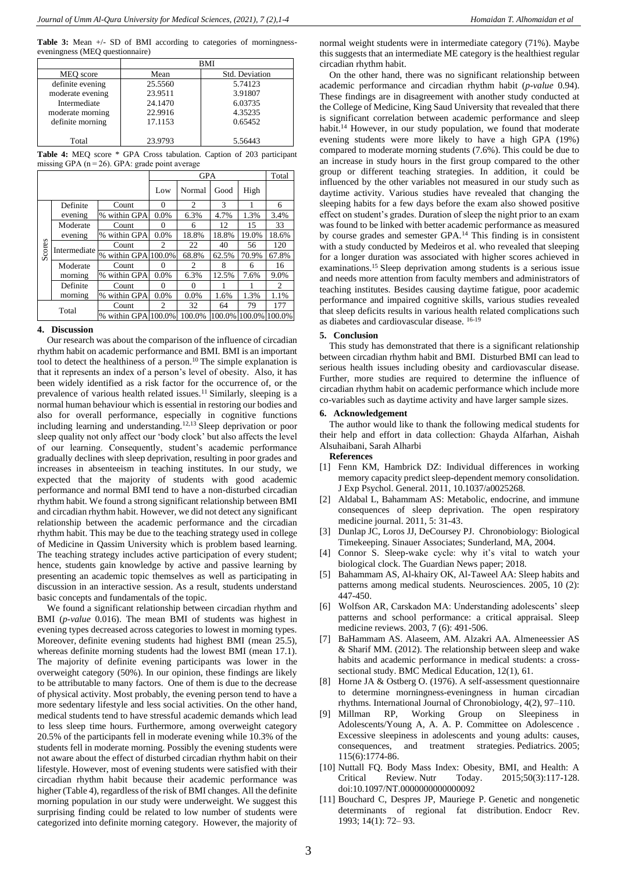**Table 3:** Mean +/- SD of BMI according to categories of morningnesseveningness (MEQ questionnaire)

|                  | <b>BMI</b> |                |  |  |  |
|------------------|------------|----------------|--|--|--|
| MEO score        | Mean       | Std. Deviation |  |  |  |
| definite evening | 25.5560    | 5.74123        |  |  |  |
| moderate evening | 23.9511    | 3.91807        |  |  |  |
| Intermediate     | 24.1470    | 6.03735        |  |  |  |
| moderate morning | 22.9916    | 4.35235        |  |  |  |
| definite morning | 17.1153    | 0.65452        |  |  |  |
| Total            | 23.9793    | 5.56443        |  |  |  |

**Table 4:** MEQ score \* GPA Cross tabulation. Caption of 203 participant missing GPA (n = 26). GPA: grade point average

|       |                                                                                 |                     |          | Total             |        |        |        |
|-------|---------------------------------------------------------------------------------|---------------------|----------|-------------------|--------|--------|--------|
|       |                                                                                 |                     | Low      | Normal            | Good   | High   |        |
|       | Definite                                                                        | Count               | 0        | $\mathfrak{D}$    | 3      |        | 6      |
|       | evening                                                                         | % within GPA        | 0.0%     | 6.3%              | 4.7%   | 1.3%   | 3.4%   |
|       | Moderate                                                                        | Count               | $\Omega$ | 6                 | 12     | 15     | 33     |
|       | evening<br>Scores<br>Intermediate<br>Moderate<br>morning<br>Definite<br>morning | % within GPA        | 0.0%     | 18.8%             | 18.8%  | 19.0%  | 18.6%  |
|       |                                                                                 | Count               | 2        | 22                | 40     | 56     | 120    |
|       |                                                                                 | % within GPA        | 100.0%   | 68.8%             | 62.5%  | 70.9%  | 67.8%  |
|       |                                                                                 | Count               | $\Omega$ | 2                 | 8      | 6      | 16     |
|       |                                                                                 | % within GPA        | 0.0%     | 6.3%              | 12.5%  | 7.6%   | 9.0%   |
|       |                                                                                 | Count               | $\Omega$ | $\mathbf{\Omega}$ |        |        | 2      |
|       |                                                                                 | % within GPA        | 0.0%     | $0.0\%$           | 1.6%   | 1.3%   | 1.1%   |
| Total |                                                                                 | Count               | 2        | 32                | 64     | 79     | 177    |
|       |                                                                                 | % within GPA 100.0% |          | 100.0%            | 100.0% | 100.0% | 100.0% |

# **4. Discussion**

Our research was about the comparison of the influence of circadian rhythm habit on academic performance and BMI. BMI is an important tool to detect the healthiness of a person.<sup>10</sup> The simple explanation is that it represents an index of a person's level of obesity. Also, it has been widely identified as a risk factor for the occurrence of, or the prevalence of various health related issues.<sup>11</sup> Similarly, sleeping is a normal human behaviour which is essential in restoring our bodies and also for overall performance, especially in cognitive functions including learning and understanding.12,13 Sleep deprivation or poor sleep quality not only affect our 'body clock' but also affects the level of our learning. Consequently, student's academic performance gradually declines with sleep deprivation, resulting in poor grades and increases in absenteeism in teaching institutes. In our study, we expected that the majority of students with good academic performance and normal BMI tend to have a non-disturbed circadian rhythm habit. We found a strong significant relationship between BMI and circadian rhythm habit. However, we did not detect any significant relationship between the academic performance and the circadian rhythm habit. This may be due to the teaching strategy used in college of Medicine in Qassim University which is problem based learning. The teaching strategy includes active participation of every student; hence, students gain knowledge by active and passive learning by presenting an academic topic themselves as well as participating in discussion in an interactive session. As a result, students understand basic concepts and fundamentals of the topic.

We found a significant relationship between circadian rhythm and BMI (*p-value* 0.016). The mean BMI of students was highest in evening types decreased across categories to lowest in morning types. Moreover, definite evening students had highest BMI (mean 25.5), whereas definite morning students had the lowest BMI (mean 17.1). The majority of definite evening participants was lower in the overweight category (50%). In our opinion, these findings are likely to be attributable to many factors. One of them is due to the decrease of physical activity. Most probably, the evening person tend to have a more sedentary lifestyle and less social activities. On the other hand, medical students tend to have stressful academic demands which lead to less sleep time hours. Furthermore, among overweight category 20.5% of the participants fell in moderate evening while 10.3% of the students fell in moderate morning. Possibly the evening students were not aware about the effect of disturbed circadian rhythm habit on their lifestyle. However, most of evening students were satisfied with their circadian rhythm habit because their academic performance was higher (Table 4), regardless of the risk of BMI changes. All the definite morning population in our study were underweight. We suggest this surprising finding could be related to low number of students were categorized into definite morning category. However, the majority of normal weight students were in intermediate category (71%). Maybe this suggests that an intermediate ME category is the healthiest regular circadian rhythm habit.

On the other hand, there was no significant relationship between academic performance and circadian rhythm habit (*p-value* 0.94). These findings are in disagreement with another study conducted at the College of Medicine, King Saud University that revealed that there is significant correlation between academic performance and sleep habit.<sup>14</sup> However, in our study population, we found that moderate evening students were more likely to have a high GPA (19%) compared to moderate morning students (7.6%). This could be due to an increase in study hours in the first group compared to the other group or different teaching strategies. In addition, it could be influenced by the other variables not measured in our study such as daytime activity. Various studies have revealed that changing the sleeping habits for a few days before the exam also showed positive effect on student's grades. Duration of sleep the night prior to an exam was found to be linked with better academic performance as measured by course grades and semester GPA.<sup>14</sup> This finding is in consistent with a study conducted by Medeiros et al. who revealed that sleeping for a longer duration was associated with higher scores achieved in examinations.<sup>15</sup> Sleep deprivation among students is a serious issue and needs more attention from faculty members and administrators of teaching institutes. Besides causing daytime fatigue, poor academic performance and impaired cognitive skills, various studies revealed that sleep deficits results in various health related complications such as diabetes and cardiovascular disease. 16-19

# **5. Conclusion**

This study has demonstrated that there is a significant relationship between circadian rhythm habit and BMI. Disturbed BMI can lead to serious health issues including obesity and cardiovascular disease. Further, more studies are required to determine the influence of circadian rhythm habit on academic performance which include more co-variables such as daytime activity and have larger sample sizes.

# **6. Acknowledgement**

The author would like to thank the following medical students for their help and effort in data collection: Ghayda Alfarhan, Aishah Alsuhaibani, Sarah Alharbi

**References**

- [1] Fenn KM, Hambrick DZ: Individual differences in working memory capacity predict sleep-dependent memory consolidation. J Exp Psychol. General. 2011, 10.1037/a0025268.
- [2] Aldabal L, Bahammam AS: Metabolic, endocrine, and immune consequences of sleep deprivation. The open respiratory medicine journal. 2011, 5: 31-43.
- [3] Dunlap JC, Loros JJ, DeCoursey PJ. Chronobiology: Biological Timekeeping. Sinauer Associates; Sunderland, MA, 2004.
- [4] Connor S. Sleep-wake cycle: why it's vital to watch your biological clock. The Guardian News paper; 2018.
- [5] Bahammam AS, Al-khairy OK, Al-Taweel AA: Sleep habits and patterns among medical students. Neurosciences. 2005, 10 (2): 447-450.
- [6] Wolfson AR, Carskadon MA: Understanding adolescents' sleep patterns and school performance: a critical appraisal. Sleep medicine reviews. 2003, 7 (6): 491-506.
- [7] BaHammam AS. Alaseem, AM. Alzakri AA. Almeneessier AS & Sharif MM. (2012). The relationship between sleep and wake habits and academic performance in medical students: a crosssectional study. BMC Medical Education, 12(1), 61.
- [8] Horne JA & Ostberg O. (1976). A self-assessment questionnaire to determine morningness-eveningness in human circadian rhythms. International Journal of Chronobiology, 4(2), 97–110.
- [9] Millman RP, Working Group on Sleepiness in Adolescents/Young A, A. A. P. Committee on Adolescence . Excessive sleepiness in adolescents and young adults: causes, consequences, and treatment strategies. Pediatrics. 2005; 115(6):1774-86.
- [10] Nuttall FO. Body Mass Index: Obesity, BMI, and Health: A Critical Review. Nutr Today. 2015;50(3):117-128. doi:10.1097/NT.0000000000000092
- [11] Bouchard C, Despres JP, Mauriege P. Genetic and nongenetic determinants of regional fat distribution. Endocr Rev. 1993; 14(1): 72– 93.